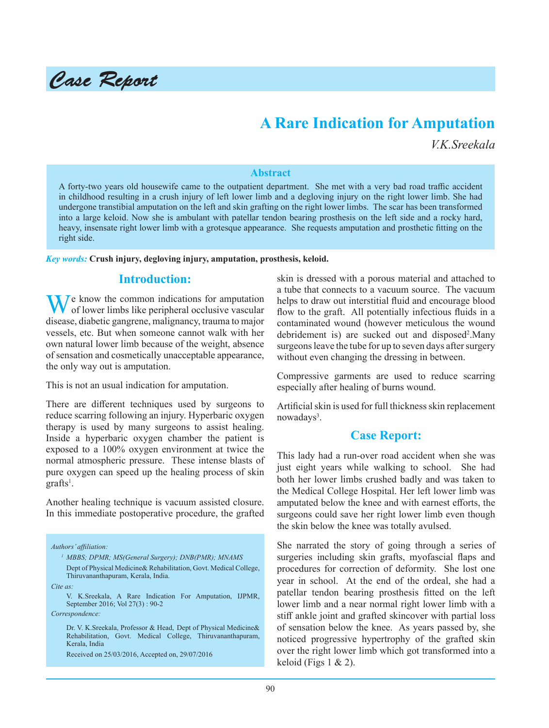

# **A Rare Indication for Amputation**

*V.K.Sreekala*

#### **Abstract**

A forty-two years old housewife came to the outpatient department. She met with a very bad road traffic accident in childhood resulting in a crush injury of left lower limb and a degloving injury on the right lower limb. She had undergone transtibial amputation on the left and skin grafting on the right lower limbs. The scar has been transformed into a large keloid. Now she is ambulant with patellar tendon bearing prosthesis on the left side and a rocky hard, heavy, insensate right lower limb with a grotesque appearance. She requests amputation and prosthetic fitting on the right side.

*Key words:* **Crush injury, degloving injury, amputation, prosthesis, keloid.**

### **Introduction:**

 $\sum_{n=1}^{\infty} I_n$  know the common indications for amputation of lower limbs like peripheral occlusive vascular disease, diabetic gangrene, malignancy, trauma to major vessels, etc. But when someone cannot walk with her own natural lower limb because of the weight, absence of sensation and cosmetically unacceptable appearance, the only way out is amputation.

This is not an usual indication for amputation.

There are different techniques used by surgeons to reduce scarring following an injury. Hyperbaric oxygen therapy is used by many surgeons to assist healing. Inside a hyperbaric oxygen chamber the patient is exposed to a 100% oxygen environment at twice the normal atmospheric pressure. These intense blasts of pure oxygen can speed up the healing process of skin  $graffs<sup>1</sup>$ .

Another healing technique is vacuum assisted closure. In this immediate postoperative procedure, the grafted

*Authors' affiliation:*

*<sup>1</sup>MBBS; DPMR; MS(General Surgery); DNB(PMR); MNAMS* Dept of Physical Medicine& Rehabilitation, Govt. Medical College, Thiruvananthapuram, Kerala, India.

*Cite as:*

*Correspondence:*

Received on 25/03/2016, Accepted on, 29/07/2016

skin is dressed with a porous material and attached to a tube that connects to a vacuum source. The vacuum helps to draw out interstitial fluid and encourage blood flow to the graft. All potentially infectious fluids in a contaminated wound (however meticulous the wound debridement is) are sucked out and disposed<sup>2</sup>. Many surgeons leave the tube for up to seven days after surgery without even changing the dressing in between.

Compressive garments are used to reduce scarring especially after healing of burns wound.

Artificial skin is used for full thickness skin replacement nowadays<sup>3</sup>.

### **Case Report:**

This lady had a run-over road accident when she was just eight years while walking to school. She had both her lower limbs crushed badly and was taken to the Medical College Hospital. Her left lower limb was amputated below the knee and with earnest efforts, the surgeons could save her right lower limb even though the skin below the knee was totally avulsed.

She narrated the story of going through a series of surgeries including skin grafts, myofascial flaps and procedures for correction of deformity. She lost one year in school. At the end of the ordeal, she had a patellar tendon bearing prosthesis fitted on the left lower limb and a near normal right lower limb with a stiff ankle joint and grafted skincover with partial loss of sensation below the knee. As years passed by, she noticed progressive hypertrophy of the grafted skin over the right lower limb which got transformed into a keloid (Figs 1 & 2).

V. K.Sreekala, A Rare Indication For Amputation, IJPMR, September 2016; Vol 27(3) : 90-2

Dr. V. K.Sreekala, Professor & Head, Dept of Physical Medicine& Rehabilitation, Govt. Medical College, Thiruvananthapuram, Kerala, India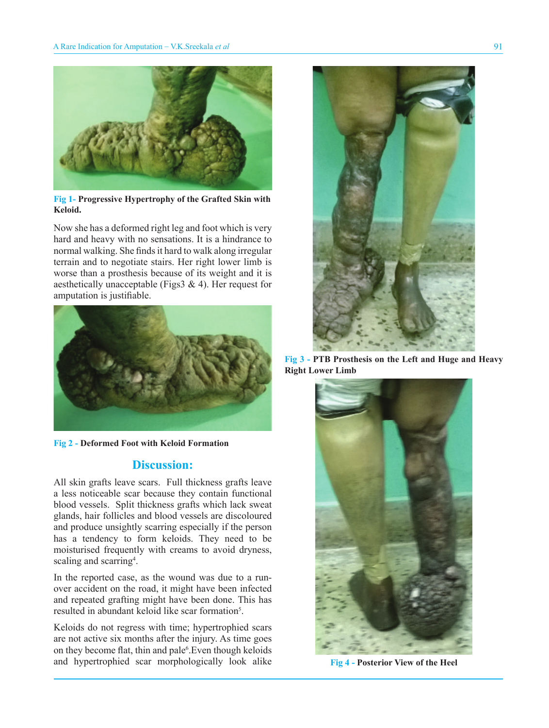

**Fig 1- Progressive Hypertrophy of the Grafted Skin with Keloid.**

Now she has a deformed right leg and foot which is very hard and heavy with no sensations. It is a hindrance to normal walking. She finds it hard to walk along irregular terrain and to negotiate stairs. Her right lower limb is worse than a prosthesis because of its weight and it is aesthetically unacceptable (Figs3  $\&$  4). Her request for amputation is justifiable.



**Fig 2 - Deformed Foot with Keloid Formation**

### **Discussion:**

All skin grafts leave scars. Full thickness grafts leave a less noticeable scar because they contain functional blood vessels. Split thickness grafts which lack sweat glands, hair follicles and blood vessels are discoloured and produce unsightly scarring especially if the person has a tendency to form keloids. They need to be moisturised frequently with creams to avoid dryness, scaling and scarring<sup>4</sup>.

In the reported case, as the wound was due to a runover accident on the road, it might have been infected and repeated grafting might have been done. This has resulted in abundant keloid like scar formation<sup>5</sup>.

Keloids do not regress with time; hypertrophied scars are not active six months after the injury. As time goes on they become flat, thin and pale<sup>6</sup>. Even though keloids and hypertrophied scar morphologically look alike



**Fig 3 - PTB Prosthesis on the Left and Huge and Heavy Right Lower Limb**



**Fig 4 - Posterior View of the Heel**